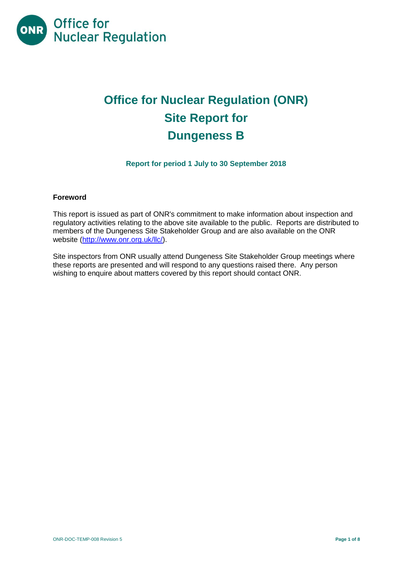

# **Office for Nuclear Regulation (ONR) Site Report for Dungeness B**

# **Report for period 1 July to 30 September 2018**

#### **Foreword**

This report is issued as part of ONR's commitment to make information about inspection and regulatory activities relating to the above site available to the public. Reports are distributed to members of the Dungeness Site Stakeholder Group and are also available on the ONR website [\(http://www.onr.org.uk/llc/\)](http://www.onr.org.uk/llc/).

Site inspectors from ONR usually attend Dungeness Site Stakeholder Group meetings where these reports are presented and will respond to any questions raised there. Any person wishing to enquire about matters covered by this report should contact ONR.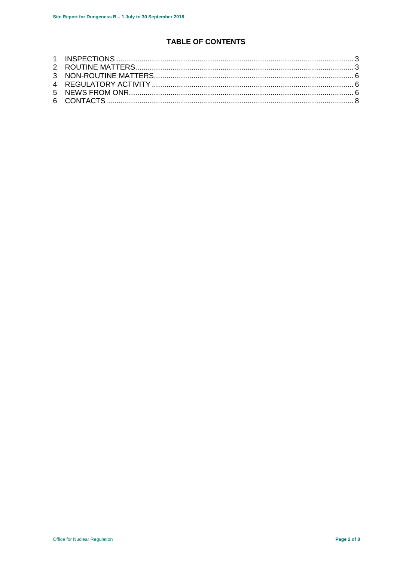# **TABLE OF CONTENTS**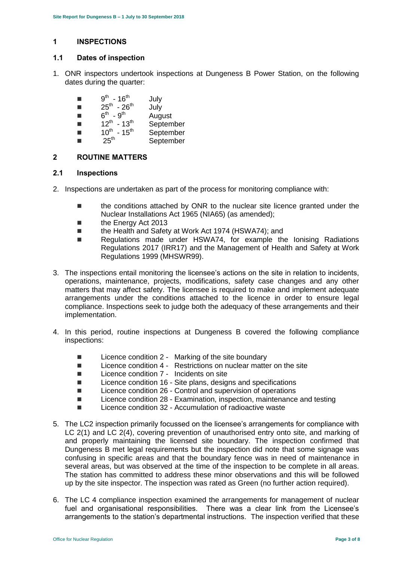# <span id="page-2-0"></span>**1 INSPECTIONS**

#### **1.1 Dates of inspection**

- 1. ONR inspectors undertook inspections at Dungeness B Power Station, on the following dates during the quarter:
	- $\blacksquare$  9<sup>th</sup> 16<sup>th</sup> July
	- $\blacksquare$  25<sup>th</sup> 26<sup>th</sup> July
	- $\blacksquare$  6<sup>th</sup> 9<sup>th</sup> **August**
	- $\blacksquare$  12<sup>th</sup> September
	- $\blacksquare$  10<sup>th</sup> 15 September
	- $\blacksquare$  25<sup>th</sup> **September**

# <span id="page-2-1"></span>**2 ROUTINE MATTERS**

#### **2.1 Inspections**

- 2. Inspections are undertaken as part of the process for monitoring compliance with:
	- the conditions attached by ONR to the nuclear site licence granted under the Nuclear Installations Act 1965 (NIA65) (as amended);
	- **the Energy Act 2013**
	- the Health and Safety at Work Act 1974 (HSWA74); and
	- Regulations made under HSWA74, for example the Ionising Radiations Regulations 2017 (IRR17) and the Management of Health and Safety at Work Regulations 1999 (MHSWR99).
- 3. The inspections entail monitoring the licensee's actions on the site in relation to incidents, operations, maintenance, projects, modifications, safety case changes and any other matters that may affect safety. The licensee is required to make and implement adequate arrangements under the conditions attached to the licence in order to ensure legal compliance. Inspections seek to judge both the adequacy of these arrangements and their implementation.
- 4. In this period, routine inspections at Dungeness B covered the following compliance inspections:
	- Licence condition 2 Marking of the site boundary
	- Licence condition 4 Restrictions on nuclear matter on the site
	- Licence condition 7 Incidents on site
	- Licence condition 16 Site plans, designs and specifications
	- $\blacksquare$  Licence condition 26 Control and supervision of operations
	- Licence condition 28 Examination, inspection, maintenance and testing
	- Licence condition 32 Accumulation of radioactive waste
- 5. The LC2 inspection primarily focussed on the licensee's arrangements for compliance with LC 2(1) and LC 2(4), covering prevention of unauthorised entry onto site, and marking of and properly maintaining the licensed site boundary. The inspection confirmed that Dungeness B met legal requirements but the inspection did note that some signage was confusing in specific areas and that the boundary fence was in need of maintenance in several areas, but was observed at the time of the inspection to be complete in all areas. The station has committed to address these minor observations and this will be followed up by the site inspector. The inspection was rated as Green (no further action required).
- 6. The LC 4 compliance inspection examined the arrangements for management of nuclear fuel and organisational responsibilities. There was a clear link from the Licensee's arrangements to the station's departmental instructions. The inspection verified that these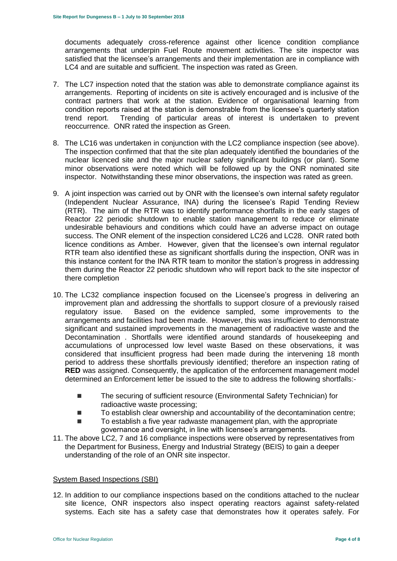documents adequately cross-reference against other licence condition compliance arrangements that underpin Fuel Route movement activities. The site inspector was satisfied that the licensee's arrangements and their implementation are in compliance with LC4 and are suitable and sufficient. The inspection was rated as Green.

- 7. The LC7 inspection noted that the station was able to demonstrate compliance against its arrangements. Reporting of incidents on site is actively encouraged and is inclusive of the contract partners that work at the station. Evidence of organisational learning from condition reports raised at the station is demonstrable from the licensee's quarterly station trend report. Trending of particular areas of interest is undertaken to prevent reoccurrence. ONR rated the inspection as Green.
- 8. The LC16 was undertaken in conjunction with the LC2 compliance inspection (see above). The inspection confirmed that that the site plan adequately identified the boundaries of the nuclear licenced site and the major nuclear safety significant buildings (or plant). Some minor observations were noted which will be followed up by the ONR nominated site inspector. Notwithstanding these minor observations, the inspection was rated as green.
- 9. A joint inspection was carried out by ONR with the licensee's own internal safety regulator (Independent Nuclear Assurance, INA) during the licensee's Rapid Tending Review (RTR). The aim of the RTR was to identify performance shortfalls in the early stages of Reactor 22 periodic shutdown to enable station management to reduce or eliminate undesirable behaviours and conditions which could have an adverse impact on outage success. The ONR element of the inspection considered LC26 and LC28. ONR rated both licence conditions as Amber. However, given that the licensee's own internal regulator RTR team also identified these as significant shortfalls during the inspection, ONR was in this instance content for the INA RTR team to monitor the station's progress in addressing them during the Reactor 22 periodic shutdown who will report back to the site inspector of there completion
- 10. The LC32 compliance inspection focused on the Licensee's progress in delivering an improvement plan and addressing the shortfalls to support closure of a previously raised regulatory issue. Based on the evidence sampled, some improvements to the arrangements and facilities had been made. However, this was insufficient to demonstrate significant and sustained improvements in the management of radioactive waste and the Decontamination . Shortfalls were identified around standards of housekeeping and accumulations of unprocessed low level waste Based on these observations, it was considered that insufficient progress had been made during the intervening 18 month period to address these shortfalls previously identified; therefore an inspection rating of **RED** was assigned. Consequently, the application of the enforcement management model determined an Enforcement letter be issued to the site to address the following shortfalls:-
	- The securing of sufficient resource (Environmental Safety Technician) for radioactive waste processing;
	- To establish clear ownership and accountability of the decontamination centre;
	- To establish a five year radwaste management plan, with the appropriate governance and oversight, in line with licensee's arrangements.
- 11. The above LC2, 7 and 16 compliance inspections were observed by representatives from the Department for Business, Energy and Industrial Strategy (BEIS) to gain a deeper understanding of the role of an ONR site inspector.

#### System Based Inspections (SBI)

12. In addition to our compliance inspections based on the conditions attached to the nuclear site licence, ONR inspectors also inspect operating reactors against safety-related systems. Each site has a safety case that demonstrates how it operates safely. For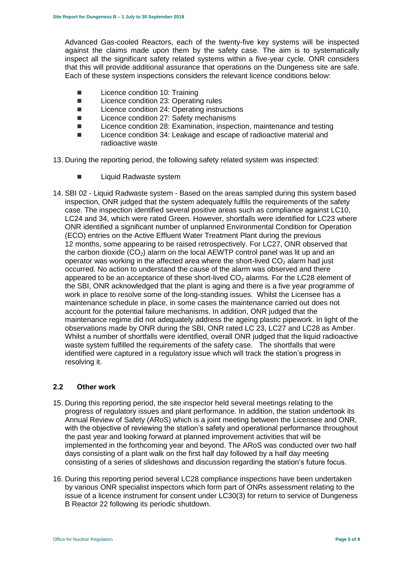Advanced Gas-cooled Reactors, each of the twenty-five key systems will be inspected against the claims made upon them by the safety case. The aim is to systematically inspect all the significant safety related systems within a five-year cycle. ONR considers that this will provide additional assurance that operations on the Dungeness site are safe. Each of these system inspections considers the relevant licence conditions below:

- Licence condition 10: Training
- Licence condition 23: Operating rules
- Licence condition 24: Operating instructions
- Licence condition 27: Safety mechanisms
- Licence condition 28: Examination, inspection, maintenance and testing
- Licence condition 34: Leakage and escape of radioactive material and radioactive waste

13. During the reporting period, the following safety related system was inspected:

- **Liquid Radwaste system**
- 14. SBI 02 Liquid Radwaste system Based on the areas sampled during this system based inspection, ONR judged that the system adequately fulfils the requirements of the safety case. The inspection identified several positive areas such as compliance against LC10, LC24 and 34, which were rated Green. However, shortfalls were identified for LC23 where ONR identified a significant number of unplanned Environmental Condition for Operation (ECO) entries on the Active Effluent Water Treatment Plant during the previous 12 months, some appearing to be raised retrospectively. For LC27, ONR observed that the carbon dioxide  $(CO<sub>2</sub>)$  alarm on the local AEWTP control panel was lit up and an operator was working in the affected area where the short-lived  $CO<sub>2</sub>$  alarm had just occurred. No action to understand the cause of the alarm was observed and there appeared to be an acceptance of these short-lived  $CO<sub>2</sub>$  alarms. For the LC28 element of the SBI, ONR acknowledged that the plant is aging and there is a five year programme of work in place to resolve some of the long-standing issues. Whilst the Licensee has a maintenance schedule in place, in some cases the maintenance carried out does not account for the potential failure mechanisms. In addition, ONR judged that the maintenance regime did not adequately address the ageing plastic pipework. In light of the observations made by ONR during the SBI, ONR rated LC 23, LC27 and LC28 as Amber. Whilst a number of shortfalls were identified, overall ONR judged that the liquid radioactive waste system fulfilled the requirements of the safety case. The shortfalls that were identified were captured in a regulatory issue which will track the station's progress in resolving it.

#### **2.2 Other work**

- 15. During this reporting period, the site inspector held several meetings relating to the progress of regulatory issues and plant performance. In addition, the station undertook its Annual Review of Safety (ARoS) which is a joint meeting between the Licensee and ONR, with the objective of reviewing the station's safety and operational performance throughout the past year and looking forward at planned improvement activities that will be implemented in the forthcoming year and beyond. The ARoS was conducted over two half days consisting of a plant walk on the first half day followed by a half day meeting consisting of a series of slideshows and discussion regarding the station's future focus.
- 16. During this reporting period several LC28 compliance inspections have been undertaken by various ONR specialist inspectors which form part of ONRs assessment relating to the issue of a licence instrument for consent under LC30(3) for return to service of Dungeness B Reactor 22 following its periodic shutdown.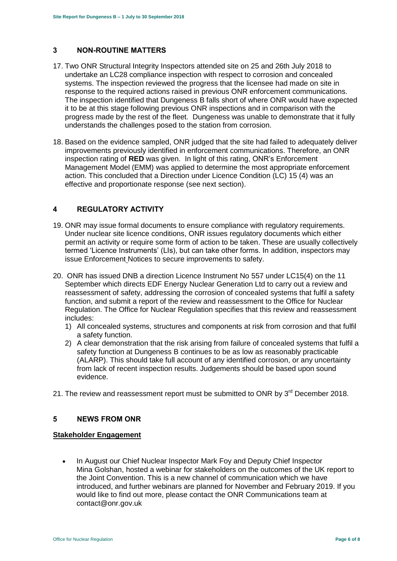# <span id="page-5-0"></span>**3 NON-ROUTINE MATTERS**

- 17. Two ONR Structural Integrity Inspectors attended site on 25 and 26th July 2018 to undertake an LC28 compliance inspection with respect to corrosion and concealed systems. The inspection reviewed the progress that the licensee had made on site in response to the required actions raised in previous ONR enforcement communications. The inspection identified that Dungeness B falls short of where ONR would have expected it to be at this stage following previous ONR inspections and in comparison with the progress made by the rest of the fleet. Dungeness was unable to demonstrate that it fully understands the challenges posed to the station from corrosion.
- 18. Based on the evidence sampled, ONR judged that the site had failed to adequately deliver improvements previously identified in enforcement communications. Therefore, an ONR inspection rating of **RED** was given. In light of this rating, ONR's Enforcement Management Model (EMM) was applied to determine the most appropriate enforcement action. This concluded that a Direction under Licence Condition (LC) 15 (4) was an effective and proportionate response (see next section).

# <span id="page-5-1"></span>**4 REGULATORY ACTIVITY**

- 19. ONR may issue formal documents to ensure compliance with regulatory requirements. Under nuclear site licence conditions, ONR issues regulatory documents which either permit an activity or require some form of action to be taken. These are usually collectively termed 'Licence Instruments' (LIs), but can take other forms. In addition, inspectors may issue Enforcement Notices to secure improvements to safety.
- 20. ONR has issued DNB a direction Licence Instrument No 557 under LC15(4) on the 11 September which directs EDF Energy Nuclear Generation Ltd to carry out a review and reassessment of safety, addressing the corrosion of concealed systems that fulfil a safety function, and submit a report of the review and reassessment to the Office for Nuclear Regulation. The Office for Nuclear Regulation specifies that this review and reassessment includes:
	- 1) All concealed systems, structures and components at risk from corrosion and that fulfil a safety function.
	- 2) A clear demonstration that the risk arising from failure of concealed systems that fulfil a safety function at Dungeness B continues to be as low as reasonably practicable (ALARP). This should take full account of any identified corrosion, or any uncertainty from lack of recent inspection results. Judgements should be based upon sound evidence.

21. The review and reassessment report must be submitted to ONR by 3<sup>rd</sup> December 2018.

### <span id="page-5-2"></span>**5 NEWS FROM ONR**

#### **Stakeholder Engagement**

• In August our Chief Nuclear Inspector Mark Foy and Deputy Chief Inspector Mina Golshan, hosted a webinar for stakeholders on the outcomes of the UK report to the Joint Convention. This is a new channel of communication which we have introduced, and further webinars are planned for November and February 2019. If you would like to find out more, please contact the ONR Communications team at contact@onr.gov.uk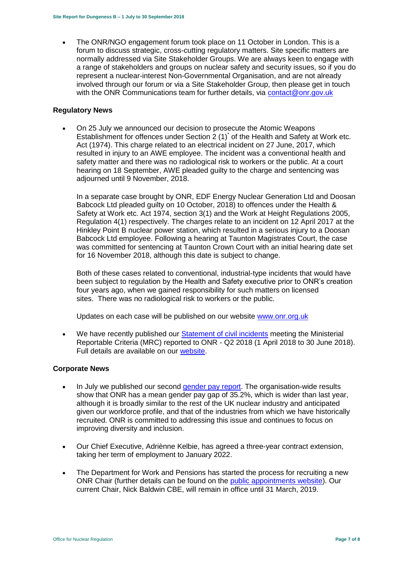• The ONR/NGO engagement forum took place on 11 October in London. This is a forum to discuss strategic, cross-cutting regulatory matters. Site specific matters are normally addressed via Site Stakeholder Groups. We are always keen to engage with a range of stakeholders and groups on nuclear safety and security issues, so if you do represent a nuclear-interest Non-Governmental Organisation, and are not already involved through our forum or via a Site Stakeholder Group, then please get in touch with the ONR Communications team for further details, via [contact@onr.gov.uk](mailto:contact@onr.gov.uk)

#### **Regulatory News**

 On 25 July we announced our decision to prosecute the Atomic Weapons Establishment for offences under Section 2 (1)<sup>\*</sup> of the Health and Safety at Work etc. Act (1974). This charge related to an electrical incident on 27 June, 2017, which resulted in injury to an AWE employee. The incident was a conventional health and safety matter and there was no radiological risk to workers or the public. At a court hearing on 18 September, AWE pleaded guilty to the charge and sentencing was adjourned until 9 November, 2018.

In a separate case brought by ONR, EDF Energy Nuclear Generation Ltd and Doosan Babcock Ltd pleaded guilty on 10 October, 2018) to offences under the Health & Safety at Work etc. Act 1974, section 3(1) and the Work at Height Regulations 2005, Regulation 4(1) respectively. The charges relate to an incident on 12 April 2017 at the Hinkley Point B nuclear power station, which resulted in a serious injury to a Doosan Babcock Ltd employee. Following a hearing at Taunton Magistrates Court, the case was committed for sentencing at Taunton Crown Court with an initial hearing date set for 16 November 2018, although this date is subject to change.

Both of these cases related to conventional, industrial-type incidents that would have been subject to regulation by the Health and Safety executive prior to ONR's creation four years ago, when we gained responsibility for such matters on licensed sites. There was no radiological risk to workers or the public.

Updates on each case will be published on our website [www.onr.org.uk](http://www.onr.org.uk/)

 We have recently published our [Statement of civil incidents](http://www.onr.org.uk/quarterly-stat/2018-2.htm) meeting the Ministerial Reportable Criteria (MRC) reported to ONR - Q2 2018 (1 April 2018 to 30 June 2018). Full details are available on our [website.](http://www.onr.org.uk/quarterly-stat/2018-2.htm)

#### **Corporate News**

- In July we published our second [gender pay report.](http://news.onr.org.uk/2018/07/onr-publishes-second-gender-pay-report/) The organisation-wide results show that ONR has a mean gender pay gap of 35.2%, which is wider than last year, although it is broadly similar to the rest of the UK nuclear industry and anticipated given our workforce profile, and that of the industries from which we have historically recruited. ONR is committed to addressing this issue and continues to focus on improving diversity and inclusion.
- Our Chief Executive, Adriènne Kelbie, has agreed a three-year contract extension, taking her term of employment to January 2022.
- The Department for Work and Pensions has started the process for recruiting a new ONR Chair (further details can be found on the [public appointments website\)](https://publicappointments.cabinetoffice.gov.uk/appointment/chair-the-office-for-nuclear-regulations/). Our current Chair, Nick Baldwin CBE, will remain in office until 31 March, 2019.